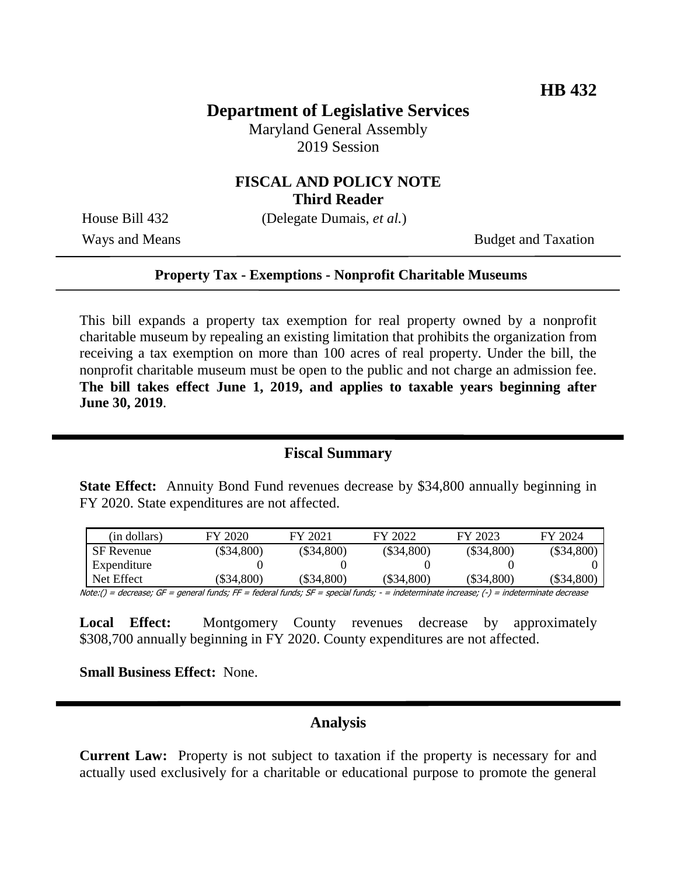### **Department of Legislative Services**

Maryland General Assembly 2019 Session

### **FISCAL AND POLICY NOTE Third Reader**

House Bill 432 (Delegate Dumais, *et al.*)

Ways and Means Budget and Taxation

#### **Property Tax - Exemptions - Nonprofit Charitable Museums**

This bill expands a property tax exemption for real property owned by a nonprofit charitable museum by repealing an existing limitation that prohibits the organization from receiving a tax exemption on more than 100 acres of real property. Under the bill, the nonprofit charitable museum must be open to the public and not charge an admission fee. **The bill takes effect June 1, 2019, and applies to taxable years beginning after June 30, 2019**.

#### **Fiscal Summary**

**State Effect:** Annuity Bond Fund revenues decrease by \$34,800 annually beginning in FY 2020. State expenditures are not affected.

| (in dollars)      | FY 2020      | FY 2021      | FY 2022      | FY 2023      | FY 2024      |
|-------------------|--------------|--------------|--------------|--------------|--------------|
| <b>SF</b> Revenue | $(\$34,800)$ | $(\$34,800)$ | $(\$34,800)$ | $(\$34,800)$ | $(\$34,800)$ |
| Expenditure       |              |              |              |              |              |
| Net Effect        | $(\$34,800)$ | $(\$34,800)$ | $(\$34,800)$ | $(\$34,800)$ | (\$34,800)   |

Note:() = decrease; GF = general funds; FF = federal funds; SF = special funds; - = indeterminate increase; (-) = indeterminate decrease

**Local Effect:** Montgomery County revenues decrease by approximately \$308,700 annually beginning in FY 2020. County expenditures are not affected.

**Small Business Effect:** None.

#### **Analysis**

**Current Law:** Property is not subject to taxation if the property is necessary for and actually used exclusively for a charitable or educational purpose to promote the general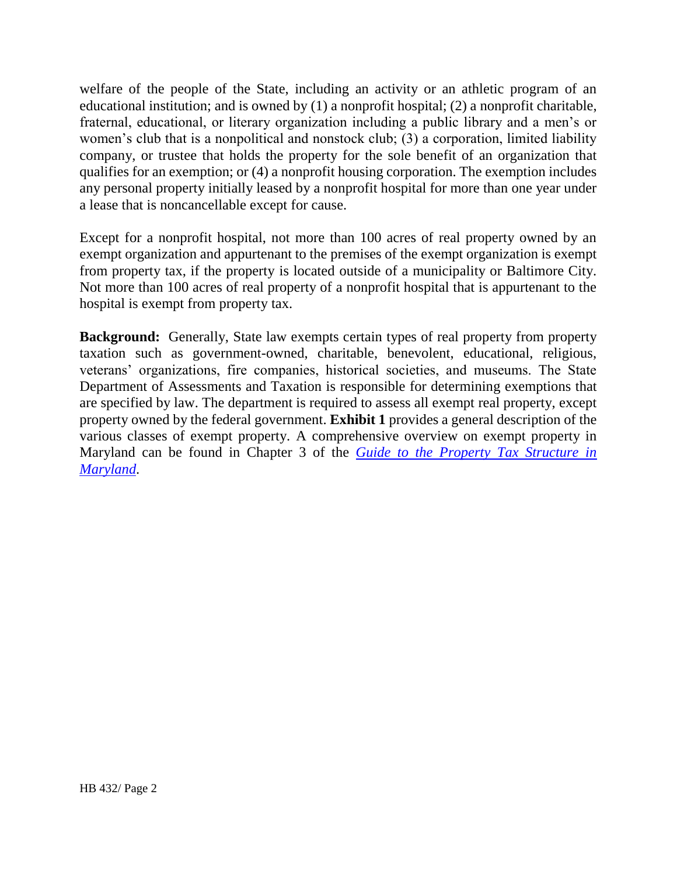welfare of the people of the State, including an activity or an athletic program of an educational institution; and is owned by (1) a nonprofit hospital; (2) a nonprofit charitable, fraternal, educational, or literary organization including a public library and a men's or women's club that is a nonpolitical and nonstock club; (3) a corporation, limited liability company, or trustee that holds the property for the sole benefit of an organization that qualifies for an exemption; or (4) a nonprofit housing corporation. The exemption includes any personal property initially leased by a nonprofit hospital for more than one year under a lease that is noncancellable except for cause.

Except for a nonprofit hospital, not more than 100 acres of real property owned by an exempt organization and appurtenant to the premises of the exempt organization is exempt from property tax, if the property is located outside of a municipality or Baltimore City. Not more than 100 acres of real property of a nonprofit hospital that is appurtenant to the hospital is exempt from property tax.

**Background:** Generally, State law exempts certain types of real property from property taxation such as government-owned, charitable, benevolent, educational, religious, veterans' organizations, fire companies, historical societies, and museums. The State Department of Assessments and Taxation is responsible for determining exemptions that are specified by law. The department is required to assess all exempt real property, except property owned by the federal government. **Exhibit 1** provides a general description of the various classes of exempt property. A comprehensive overview on exempt property in Maryland can be found in Chapter 3 of the *[Guide to the Property Tax Structure in](http://dls.maryland.gov/pubs/prod/InterGovMatters/LocFinTaxRte/Guide-to-the-Property-Tax-Structure-in-Maryland.pdf)  [Maryland](http://dls.maryland.gov/pubs/prod/InterGovMatters/LocFinTaxRte/Guide-to-the-Property-Tax-Structure-in-Maryland.pdf)*.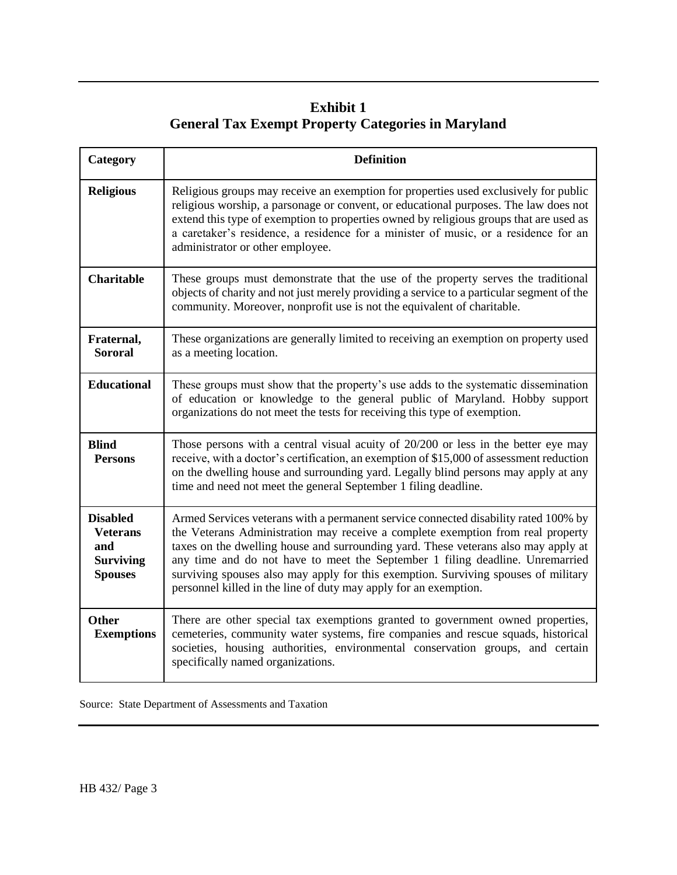# **Exhibit 1 General Tax Exempt Property Categories in Maryland**

| Category                                                                        | <b>Definition</b>                                                                                                                                                                                                                                                                                                                                                                                                                                                                                       |  |
|---------------------------------------------------------------------------------|---------------------------------------------------------------------------------------------------------------------------------------------------------------------------------------------------------------------------------------------------------------------------------------------------------------------------------------------------------------------------------------------------------------------------------------------------------------------------------------------------------|--|
| <b>Religious</b>                                                                | Religious groups may receive an exemption for properties used exclusively for public<br>religious worship, a parsonage or convent, or educational purposes. The law does not<br>extend this type of exemption to properties owned by religious groups that are used as<br>a caretaker's residence, a residence for a minister of music, or a residence for an<br>administrator or other employee.                                                                                                       |  |
| <b>Charitable</b>                                                               | These groups must demonstrate that the use of the property serves the traditional<br>objects of charity and not just merely providing a service to a particular segment of the<br>community. Moreover, nonprofit use is not the equivalent of charitable.                                                                                                                                                                                                                                               |  |
| Fraternal,<br><b>Sororal</b>                                                    | These organizations are generally limited to receiving an exemption on property used<br>as a meeting location.                                                                                                                                                                                                                                                                                                                                                                                          |  |
| <b>Educational</b>                                                              | These groups must show that the property's use adds to the systematic dissemination<br>of education or knowledge to the general public of Maryland. Hobby support<br>organizations do not meet the tests for receiving this type of exemption.                                                                                                                                                                                                                                                          |  |
| <b>Blind</b><br><b>Persons</b>                                                  | Those persons with a central visual acuity of 20/200 or less in the better eye may<br>receive, with a doctor's certification, an exemption of \$15,000 of assessment reduction<br>on the dwelling house and surrounding yard. Legally blind persons may apply at any<br>time and need not meet the general September 1 filing deadline.                                                                                                                                                                 |  |
| <b>Disabled</b><br><b>Veterans</b><br>and<br><b>Surviving</b><br><b>Spouses</b> | Armed Services veterans with a permanent service connected disability rated 100% by<br>the Veterans Administration may receive a complete exemption from real property<br>taxes on the dwelling house and surrounding yard. These veterans also may apply at<br>any time and do not have to meet the September 1 filing deadline. Unremarried<br>surviving spouses also may apply for this exemption. Surviving spouses of military<br>personnel killed in the line of duty may apply for an exemption. |  |
| <b>Other</b><br><b>Exemptions</b>                                               | There are other special tax exemptions granted to government owned properties,<br>cemeteries, community water systems, fire companies and rescue squads, historical<br>societies, housing authorities, environmental conservation groups, and certain<br>specifically named organizations.                                                                                                                                                                                                              |  |

|  |  |  |  | Source: State Department of Assessments and Taxation |  |  |
|--|--|--|--|------------------------------------------------------|--|--|
|--|--|--|--|------------------------------------------------------|--|--|